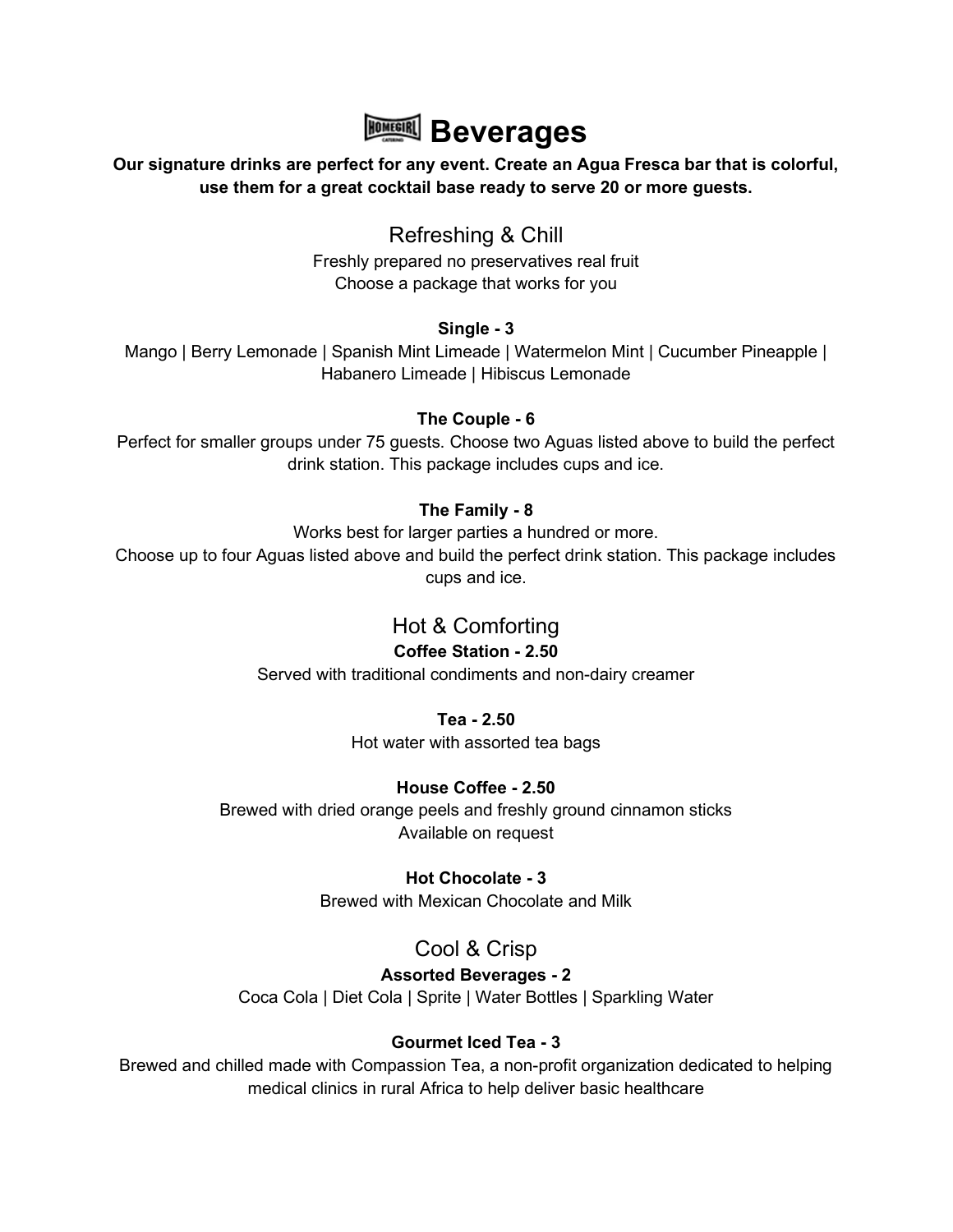

#### Our signature drinks are perfect for any event. Create an Agua Fresca bar that is colorful, use them for a great cocktail base ready to serve 20 or more guests.

# Refreshing & Chill

Freshly prepared no preservatives real fruit Choose a package that works for you

#### Single - 3

Mango | Berry Lemonade | Spanish Mint Limeade | Watermelon Mint | Cucumber Pineapple | Habanero Limeade | Hibiscus Lemonade

## The Couple - 6

Perfect for smaller groups under 75 guests. Choose two Aguas listed above to build the perfect drink station. This package includes cups and ice.

## The Family - 8

Works best for larger parties a hundred or more.

Choose up to four Aguas listed above and build the perfect drink station. This package includes cups and ice.

# Hot & Comforting

## Coffee Station - 2.50

Served with traditional condiments and non-dairy creamer

## Tea - 2.50

Hot water with assorted tea bags

# House Coffee - 2.50

Brewed with dried orange peels and freshly ground cinnamon sticks Available on request

## Hot Chocolate - 3

Brewed with Mexican Chocolate and Milk

# Cool & Crisp

# Assorted Beverages - 2

Coca Cola | Diet Cola | Sprite | Water Bottles | Sparkling Water

# Gourmet Iced Tea - 3

Brewed and chilled made with Compassion Tea, a non-profit organization dedicated to helping medical clinics in rural Africa to help deliver basic healthcare